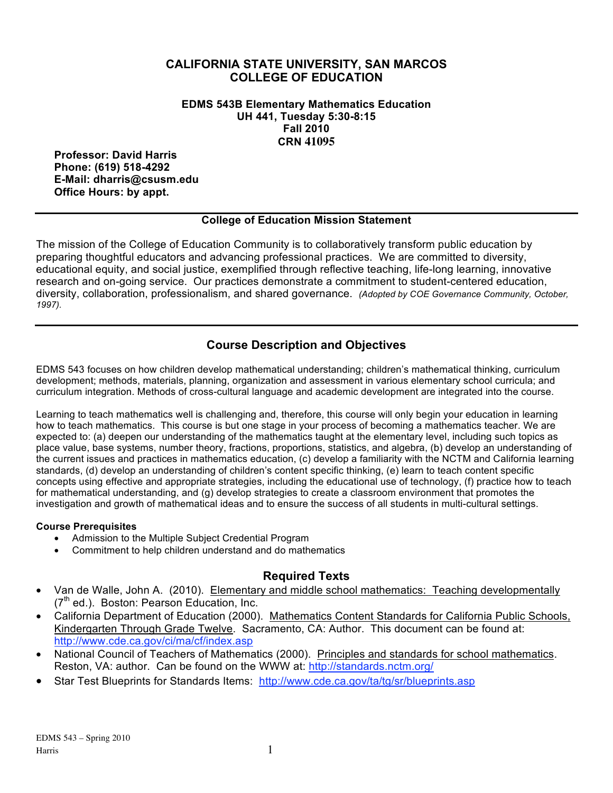### **CALIFORNIA STATE UNIVERSITY, SAN MARCOS COLLEGE OF EDUCATION**

**EDMS 543B Elementary Mathematics Education UH 441, Tuesday 5:30-8:15 Fall 2010 CRN 41095**

**Professor: David Harris Phone: (619) 518-4292 E-Mail: dharris@csusm.edu Office Hours: by appt.**

### **College of Education Mission Statement**

The mission of the College of Education Community is to collaboratively transform public education by preparing thoughtful educators and advancing professional practices. We are committed to diversity, educational equity, and social justice, exemplified through reflective teaching, life-long learning, innovative research and on-going service. Our practices demonstrate a commitment to student-centered education, diversity, collaboration, professionalism, and shared governance. *(Adopted by COE Governance Community, October, 1997).*

# **Course Description and Objectives**

EDMS 543 focuses on how children develop mathematical understanding; children's mathematical thinking, curriculum development; methods, materials, planning, organization and assessment in various elementary school curricula; and curriculum integration. Methods of cross-cultural language and academic development are integrated into the course.

Learning to teach mathematics well is challenging and, therefore, this course will only begin your education in learning how to teach mathematics. This course is but one stage in your process of becoming a mathematics teacher. We are expected to: (a) deepen our understanding of the mathematics taught at the elementary level, including such topics as place value, base systems, number theory, fractions, proportions, statistics, and algebra, (b) develop an understanding of the current issues and practices in mathematics education, (c) develop a familiarity with the NCTM and California learning standards, (d) develop an understanding of children's content specific thinking, (e) learn to teach content specific concepts using effective and appropriate strategies, including the educational use of technology, (f) practice how to teach for mathematical understanding, and (g) develop strategies to create a classroom environment that promotes the investigation and growth of mathematical ideas and to ensure the success of all students in multi-cultural settings.

### **Course Prerequisites**

- Admission to the Multiple Subject Credential Program
- Commitment to help children understand and do mathematics

### **Required Texts**

- Van de Walle, John A. (2010). Elementary and middle school mathematics: Teaching developmentally  $(7<sup>th</sup>$  ed.). Boston: Pearson Education, Inc.
- California Department of Education (2000). Mathematics Content Standards for California Public Schools, Kindergarten Through Grade Twelve. Sacramento, CA: Author. This document can be found at: http://www.cde.ca.gov/ci/ma/cf/index.asp
- National Council of Teachers of Mathematics (2000). Principles and standards for school mathematics. Reston, VA: author. Can be found on the WWW at: http://standards.nctm.org/
- Star Test Blueprints for Standards Items: http://www.cde.ca.gov/ta/tg/sr/blueprints.asp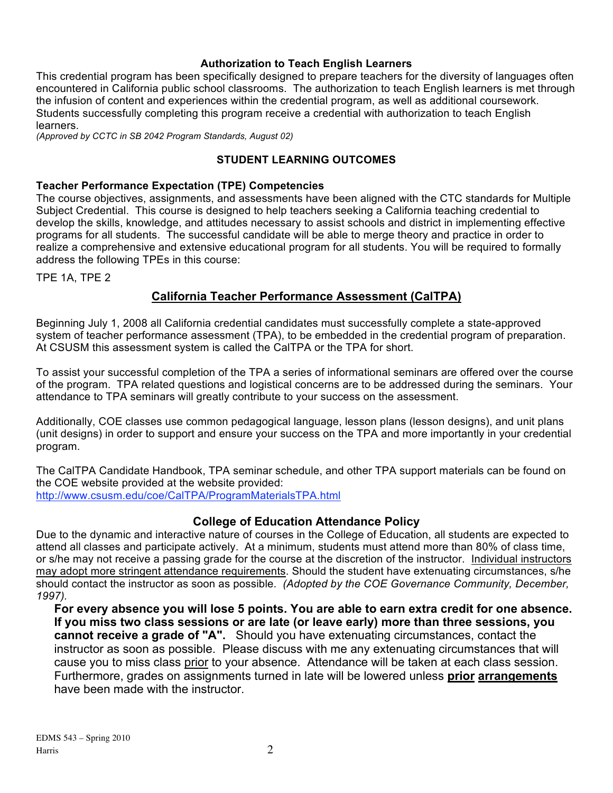### **Authorization to Teach English Learners**

This credential program has been specifically designed to prepare teachers for the diversity of languages often encountered in California public school classrooms. The authorization to teach English learners is met through the infusion of content and experiences within the credential program, as well as additional coursework. Students successfully completing this program receive a credential with authorization to teach English learners.

*(Approved by CCTC in SB 2042 Program Standards, August 02)*

# **STUDENT LEARNING OUTCOMES**

### **Teacher Performance Expectation (TPE) Competencies**

The course objectives, assignments, and assessments have been aligned with the CTC standards for Multiple Subject Credential. This course is designed to help teachers seeking a California teaching credential to develop the skills, knowledge, and attitudes necessary to assist schools and district in implementing effective programs for all students. The successful candidate will be able to merge theory and practice in order to realize a comprehensive and extensive educational program for all students. You will be required to formally address the following TPEs in this course:

TPE 1A, TPE 2

# **California Teacher Performance Assessment (CalTPA)**

Beginning July 1, 2008 all California credential candidates must successfully complete a state-approved system of teacher performance assessment (TPA), to be embedded in the credential program of preparation. At CSUSM this assessment system is called the CalTPA or the TPA for short.

To assist your successful completion of the TPA a series of informational seminars are offered over the course of the program. TPA related questions and logistical concerns are to be addressed during the seminars. Your attendance to TPA seminars will greatly contribute to your success on the assessment.

Additionally, COE classes use common pedagogical language, lesson plans (lesson designs), and unit plans (unit designs) in order to support and ensure your success on the TPA and more importantly in your credential program.

The CalTPA Candidate Handbook, TPA seminar schedule, and other TPA support materials can be found on the COE website provided at the website provided: http://www.csusm.edu/coe/CalTPA/ProgramMaterialsTPA.html

## **College of Education Attendance Policy**

Due to the dynamic and interactive nature of courses in the College of Education, all students are expected to attend all classes and participate actively. At a minimum, students must attend more than 80% of class time, or s/he may not receive a passing grade for the course at the discretion of the instructor. Individual instructors may adopt more stringent attendance requirements. Should the student have extenuating circumstances, s/he should contact the instructor as soon as possible. *(Adopted by the COE Governance Community, December, 1997).*

**For every absence you will lose 5 points. You are able to earn extra credit for one absence. If you miss two class sessions or are late (or leave early) more than three sessions, you cannot receive a grade of "A".** Should you have extenuating circumstances, contact the instructor as soon as possible. Please discuss with me any extenuating circumstances that will cause you to miss class prior to your absence. Attendance will be taken at each class session. Furthermore, grades on assignments turned in late will be lowered unless **prior arrangements** have been made with the instructor.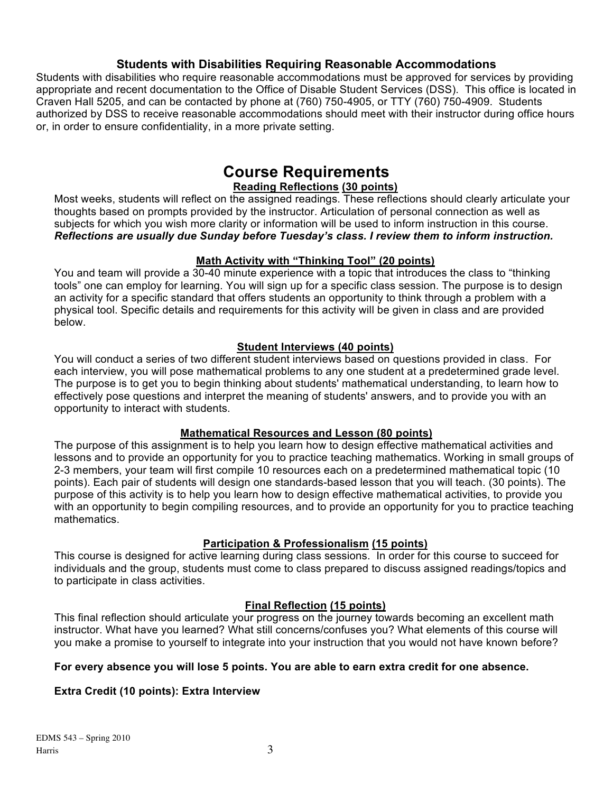### **Students with Disabilities Requiring Reasonable Accommodations**

Students with disabilities who require reasonable accommodations must be approved for services by providing appropriate and recent documentation to the Office of Disable Student Services (DSS). This office is located in Craven Hall 5205, and can be contacted by phone at (760) 750-4905, or TTY (760) 750-4909. Students authorized by DSS to receive reasonable accommodations should meet with their instructor during office hours or, in order to ensure confidentiality, in a more private setting.

# **Course Requirements Reading Reflections (30 points)**

Most weeks, students will reflect on the assigned readings. These reflections should clearly articulate your thoughts based on prompts provided by the instructor. Articulation of personal connection as well as subjects for which you wish more clarity or information will be used to inform instruction in this course. *Reflections are usually due Sunday before Tuesday's class. I review them to inform instruction.*

## **Math Activity with "Thinking Tool" (20 points)**

You and team will provide a 30-40 minute experience with a topic that introduces the class to "thinking tools" one can employ for learning. You will sign up for a specific class session. The purpose is to design an activity for a specific standard that offers students an opportunity to think through a problem with a physical tool. Specific details and requirements for this activity will be given in class and are provided below.

### **Student Interviews (40 points)**

You will conduct a series of two different student interviews based on questions provided in class. For each interview, you will pose mathematical problems to any one student at a predetermined grade level. The purpose is to get you to begin thinking about students' mathematical understanding, to learn how to effectively pose questions and interpret the meaning of students' answers, and to provide you with an opportunity to interact with students.

## **Mathematical Resources and Lesson (80 points)**

The purpose of this assignment is to help you learn how to design effective mathematical activities and lessons and to provide an opportunity for you to practice teaching mathematics. Working in small groups of 2-3 members, your team will first compile 10 resources each on a predetermined mathematical topic (10 points). Each pair of students will design one standards-based lesson that you will teach. (30 points). The purpose of this activity is to help you learn how to design effective mathematical activities, to provide you with an opportunity to begin compiling resources, and to provide an opportunity for you to practice teaching mathematics.

### **Participation & Professionalism (15 points)**

This course is designed for active learning during class sessions. In order for this course to succeed for individuals and the group, students must come to class prepared to discuss assigned readings/topics and to participate in class activities.

### **Final Reflection (15 points)**

This final reflection should articulate your progress on the journey towards becoming an excellent math instructor. What have you learned? What still concerns/confuses you? What elements of this course will you make a promise to yourself to integrate into your instruction that you would not have known before?

### **For every absence you will lose 5 points. You are able to earn extra credit for one absence.**

## **Extra Credit (10 points): Extra Interview**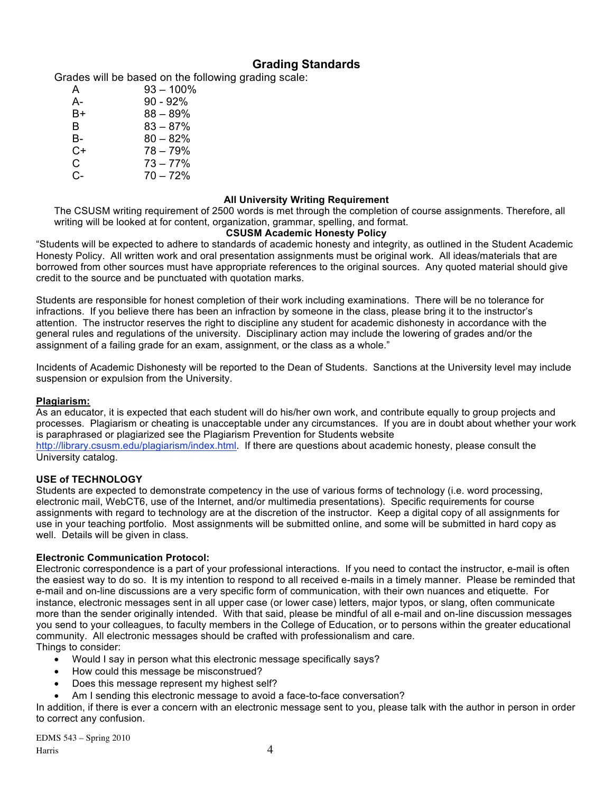# **Grading Standards**

Grades will be based on the following grading scale:

| A    | $93 - 100\%$ |
|------|--------------|
| А-   | $90 - 92\%$  |
| В+   | $88 - 89%$   |
| R    | $83 - 87%$   |
| B-   | $80 - 82%$   |
| C+   | $78 - 79%$   |
| C.   | $73 - 77%$   |
| $C-$ | $70 - 72%$   |
|      |              |

#### **All University Writing Requirement**

The CSUSM writing requirement of 2500 words is met through the completion of course assignments. Therefore, all writing will be looked at for content, organization, grammar, spelling, and format.

#### **CSUSM Academic Honesty Policy**

"Students will be expected to adhere to standards of academic honesty and integrity, as outlined in the Student Academic Honesty Policy. All written work and oral presentation assignments must be original work. All ideas/materials that are borrowed from other sources must have appropriate references to the original sources. Any quoted material should give credit to the source and be punctuated with quotation marks.

Students are responsible for honest completion of their work including examinations. There will be no tolerance for infractions. If you believe there has been an infraction by someone in the class, please bring it to the instructor's attention. The instructor reserves the right to discipline any student for academic dishonesty in accordance with the general rules and regulations of the university. Disciplinary action may include the lowering of grades and/or the assignment of a failing grade for an exam, assignment, or the class as a whole."

Incidents of Academic Dishonesty will be reported to the Dean of Students. Sanctions at the University level may include suspension or expulsion from the University.

#### **Plagiarism:**

As an educator, it is expected that each student will do his/her own work, and contribute equally to group projects and processes. Plagiarism or cheating is unacceptable under any circumstances. If you are in doubt about whether your work is paraphrased or plagiarized see the Plagiarism Prevention for Students website

http://library.csusm.edu/plagiarism/index.html. If there are questions about academic honesty, please consult the University catalog.

#### **USE of TECHNOLOGY**

Students are expected to demonstrate competency in the use of various forms of technology (i.e. word processing, electronic mail, WebCT6, use of the Internet, and/or multimedia presentations). Specific requirements for course assignments with regard to technology are at the discretion of the instructor. Keep a digital copy of all assignments for use in your teaching portfolio. Most assignments will be submitted online, and some will be submitted in hard copy as well. Details will be given in class.

#### **Electronic Communication Protocol:**

Electronic correspondence is a part of your professional interactions. If you need to contact the instructor, e-mail is often the easiest way to do so. It is my intention to respond to all received e-mails in a timely manner. Please be reminded that e-mail and on-line discussions are a very specific form of communication, with their own nuances and etiquette. For instance, electronic messages sent in all upper case (or lower case) letters, major typos, or slang, often communicate more than the sender originally intended. With that said, please be mindful of all e-mail and on-line discussion messages you send to your colleagues, to faculty members in the College of Education, or to persons within the greater educational community. All electronic messages should be crafted with professionalism and care. Things to consider:

• Would I say in person what this electronic message specifically says?

- How could this message be misconstrued?
- Does this message represent my highest self?
- Am I sending this electronic message to avoid a face-to-face conversation?

In addition, if there is ever a concern with an electronic message sent to you, please talk with the author in person in order to correct any confusion.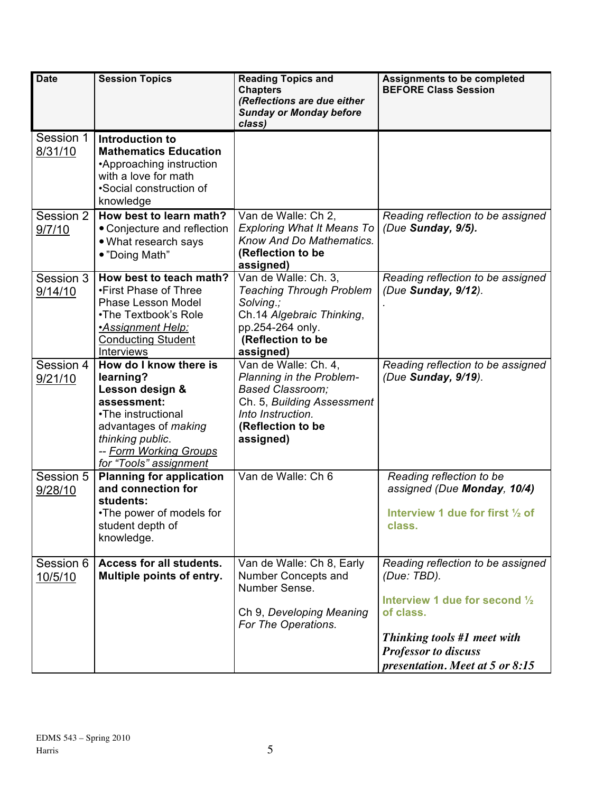| <b>Date</b>          | <b>Session Topics</b>                                                                                                                                                                       | <b>Reading Topics and</b><br><b>Chapters</b><br>(Reflections are due either<br><b>Sunday or Monday before</b><br>class)                                          | <b>Assignments to be completed</b><br><b>BEFORE Class Session</b>                                               |
|----------------------|---------------------------------------------------------------------------------------------------------------------------------------------------------------------------------------------|------------------------------------------------------------------------------------------------------------------------------------------------------------------|-----------------------------------------------------------------------------------------------------------------|
| Session 1<br>8/31/10 | Introduction to<br><b>Mathematics Education</b><br>•Approaching instruction<br>with a love for math<br>•Social construction of<br>knowledge                                                 |                                                                                                                                                                  |                                                                                                                 |
| Session 2<br>9/7/10  | How best to learn math?<br>• Conjecture and reflection<br>• What research says<br>• "Doing Math"                                                                                            | Van de Walle: Ch 2,<br><b>Exploring What It Means To</b><br>Know And Do Mathematics.<br>(Reflection to be<br>assigned)                                           | Reading reflection to be assigned<br>(Due Sunday, 9/5).                                                         |
| Session 3<br>9/14/10 | How best to teach math?<br>•First Phase of Three<br><b>Phase Lesson Model</b><br>•The Textbook's Role<br><u>•Assignment Help:</u><br><b>Conducting Student</b><br>Interviews                | Van de Walle: Ch. 3,<br><b>Teaching Through Problem</b><br>Solving.;<br>Ch.14 Algebraic Thinking,<br>pp.254-264 only.<br>(Reflection to be<br>assigned)          | Reading reflection to be assigned<br>(Due Sunday, 9/12).                                                        |
| Session 4<br>9/21/10 | How do I know there is<br>learning?<br>Lesson design &<br>assessment:<br>•The instructional<br>advantages of making<br>thinking public.<br>-- Form Working Groups<br>for "Tools" assignment | Van de Walle: Ch. 4,<br>Planning in the Problem-<br><b>Based Classroom;</b><br>Ch. 5, Building Assessment<br>Into Instruction.<br>(Reflection to be<br>assigned) | Reading reflection to be assigned<br>(Due Sunday, 9/19).                                                        |
| Session 5<br>9/28/10 | <b>Planning for application</b><br>and connection for<br>students:<br>•The power of models for<br>student depth of<br>knowledge.                                                            | Van de Walle: Ch 6                                                                                                                                               | Reading reflection to be<br>assigned (Due Monday, 10/4)<br>Interview 1 due for first $\frac{1}{2}$ of<br>class. |
| Session 6<br>10/5/10 | Access for all students.<br>Multiple points of entry.                                                                                                                                       | Van de Walle: Ch 8, Early<br>Number Concepts and<br>Number Sense.<br>Ch 9, Developing Meaning<br>For The Operations.                                             | Reading reflection to be assigned<br>(Due: TBD).<br>Interview 1 due for second 1/2<br>of class.                 |
|                      |                                                                                                                                                                                             |                                                                                                                                                                  | Thinking tools #1 meet with<br><b>Professor to discuss</b><br>presentation. Meet at 5 or 8:15                   |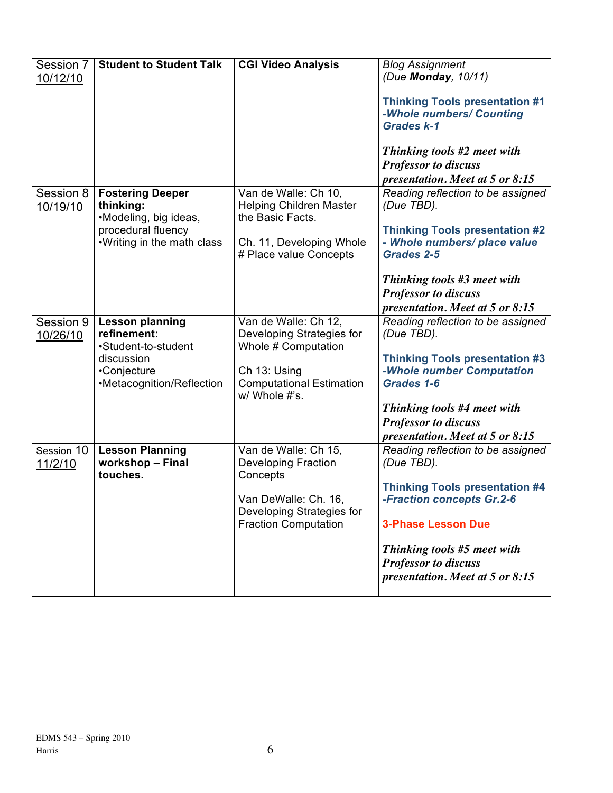| Session 7             | <b>Student to Student Talk</b>                                | <b>CGI Video Analysis</b>                                                  | <b>Blog Assignment</b>                                                                 |
|-----------------------|---------------------------------------------------------------|----------------------------------------------------------------------------|----------------------------------------------------------------------------------------|
| 10/12/10              |                                                               |                                                                            | (Due Monday, 10/11)                                                                    |
|                       |                                                               |                                                                            | <b>Thinking Tools presentation #1</b><br>-Whole numbers/ Counting<br><b>Grades k-1</b> |
|                       |                                                               |                                                                            |                                                                                        |
|                       |                                                               |                                                                            | Thinking tools #2 meet with                                                            |
|                       |                                                               |                                                                            | <b>Professor to discuss</b>                                                            |
|                       |                                                               |                                                                            | presentation. Meet at 5 or 8:15                                                        |
| Session 8<br>10/19/10 | <b>Fostering Deeper</b><br>thinking:<br>•Modeling, big ideas, | Van de Walle: Ch 10,<br><b>Helping Children Master</b><br>the Basic Facts. | Reading reflection to be assigned<br>(Due TBD).                                        |
|                       | procedural fluency                                            |                                                                            | <b>Thinking Tools presentation #2</b>                                                  |
|                       | .Writing in the math class                                    | Ch. 11, Developing Whole                                                   | - Whole numbers/ place value                                                           |
|                       |                                                               | # Place value Concepts                                                     | Grades 2-5                                                                             |
|                       |                                                               |                                                                            | Thinking tools #3 meet with                                                            |
|                       |                                                               |                                                                            | <b>Professor to discuss</b>                                                            |
|                       |                                                               |                                                                            | presentation. Meet at 5 or 8:15                                                        |
| Session 9             | <b>Lesson planning</b>                                        | Van de Walle: Ch 12,                                                       | Reading reflection to be assigned                                                      |
| 10/26/10              | refinement:<br>•Student-to-student                            | Developing Strategies for<br>Whole # Computation                           | (Due TBD).                                                                             |
|                       | discussion                                                    |                                                                            | <b>Thinking Tools presentation #3</b>                                                  |
|                       | •Conjecture                                                   | Ch 13: Using                                                               | -Whole number Computation                                                              |
|                       | •Metacognition/Reflection                                     | <b>Computational Estimation</b><br>w/ Whole #'s.                           | Grades 1-6                                                                             |
|                       |                                                               |                                                                            | Thinking tools #4 meet with                                                            |
|                       |                                                               |                                                                            | <b>Professor to discuss</b>                                                            |
|                       |                                                               |                                                                            | presentation. Meet at 5 or 8:15                                                        |
| Session 10            | <b>Lesson Planning</b>                                        | Van de Walle: Ch 15,                                                       | Reading reflection to be assigned                                                      |
| 11/2/10               | workshop - Final                                              | <b>Developing Fraction</b>                                                 | (Due TBD).                                                                             |
|                       | touches.                                                      | Concepts                                                                   |                                                                                        |
|                       |                                                               |                                                                            | <b>Thinking Tools presentation #4</b>                                                  |
|                       |                                                               | Van DeWalle: Ch. 16,<br>Developing Strategies for                          | -Fraction concepts Gr.2-6                                                              |
|                       |                                                               | <b>Fraction Computation</b>                                                | <b>3-Phase Lesson Due</b>                                                              |
|                       |                                                               |                                                                            |                                                                                        |
|                       |                                                               |                                                                            | Thinking tools #5 meet with                                                            |
|                       |                                                               |                                                                            | <b>Professor to discuss</b>                                                            |
|                       |                                                               |                                                                            | presentation. Meet at 5 or 8:15                                                        |
|                       |                                                               |                                                                            |                                                                                        |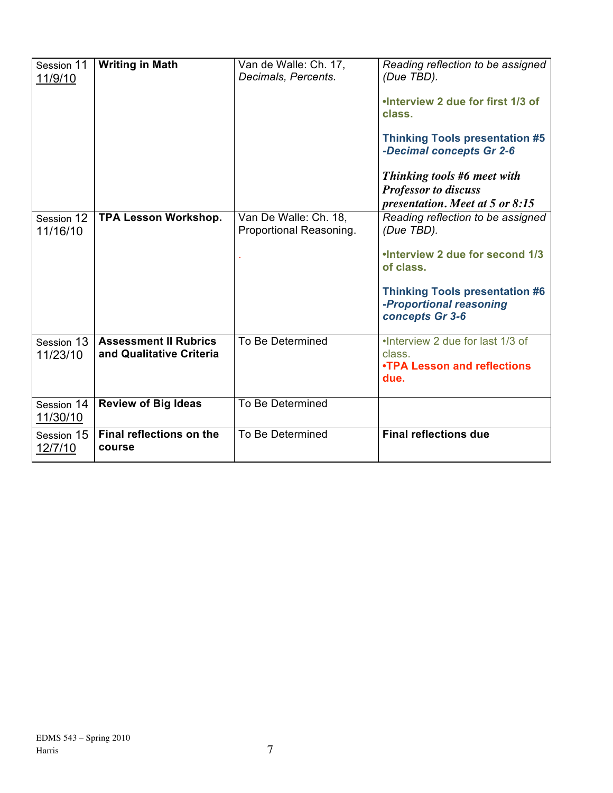| Session 11<br><u>11/9/10</u> | <b>Writing in Math</b>                                   | Van de Walle: Ch. 17,<br>Decimals, Percents.     | Reading reflection to be assigned<br>(Due TBD).<br>.Interview 2 due for first 1/3 of<br>class.<br><b>Thinking Tools presentation #5</b><br>-Decimal concepts Gr 2-6<br>Thinking tools #6 meet with<br><b>Professor to discuss</b><br>presentation. Meet at 5 or 8:15 |
|------------------------------|----------------------------------------------------------|--------------------------------------------------|----------------------------------------------------------------------------------------------------------------------------------------------------------------------------------------------------------------------------------------------------------------------|
| Session 12<br>11/16/10       | TPA Lesson Workshop.                                     | Van De Walle: Ch. 18,<br>Proportional Reasoning. | Reading reflection to be assigned<br>(Due TBD).<br>.Interview 2 due for second 1/3<br>of class.<br><b>Thinking Tools presentation #6</b><br>-Proportional reasoning<br>concepts Gr 3-6                                                                               |
| Session 13<br>11/23/10       | <b>Assessment II Rubrics</b><br>and Qualitative Criteria | To Be Determined                                 | . Interview 2 due for last 1/3 of<br>class.<br>•TPA Lesson and reflections<br>due.                                                                                                                                                                                   |
| Session 14<br>11/30/10       | <b>Review of Big Ideas</b>                               | To Be Determined                                 |                                                                                                                                                                                                                                                                      |
| Session 15<br>12/7/10        | Final reflections on the<br>course                       | To Be Determined                                 | <b>Final reflections due</b>                                                                                                                                                                                                                                         |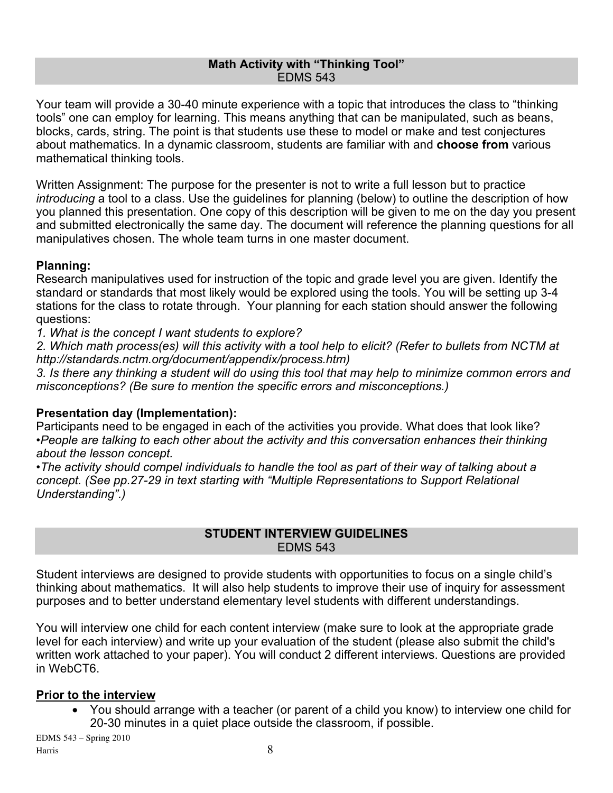### **Math Activity with "Thinking Tool"** EDMS 543

Your team will provide a 30-40 minute experience with a topic that introduces the class to "thinking tools" one can employ for learning. This means anything that can be manipulated, such as beans, blocks, cards, string. The point is that students use these to model or make and test conjectures about mathematics. In a dynamic classroom, students are familiar with and **choose from** various mathematical thinking tools.

Written Assignment: The purpose for the presenter is not to write a full lesson but to practice *introducing* a tool to a class. Use the guidelines for planning (below) to outline the description of how you planned this presentation. One copy of this description will be given to me on the day you present and submitted electronically the same day. The document will reference the planning questions for all manipulatives chosen. The whole team turns in one master document.

# **Planning:**

Research manipulatives used for instruction of the topic and grade level you are given. Identify the standard or standards that most likely would be explored using the tools. You will be setting up 3-4 stations for the class to rotate through. Your planning for each station should answer the following questions:

*1. What is the concept I want students to explore?*

*2. Which math process(es) will this activity with a tool help to elicit? (Refer to bullets from NCTM at http://standards.nctm.org/document/appendix/process.htm)*

*3. Is there any thinking a student will do using this tool that may help to minimize common errors and misconceptions? (Be sure to mention the specific errors and misconceptions.)*

# **Presentation day (Implementation):**

Participants need to be engaged in each of the activities you provide. What does that look like? •*People are talking to each other about the activity and this conversation enhances their thinking about the lesson concept.* 

*•The activity should compel individuals to handle the tool as part of their way of talking about a concept. (See pp.27-29 in text starting with "Multiple Representations to Support Relational Understanding".)*

## **STUDENT INTERVIEW GUIDELINES** EDMS 543

Student interviews are designed to provide students with opportunities to focus on a single child's thinking about mathematics. It will also help students to improve their use of inquiry for assessment purposes and to better understand elementary level students with different understandings.

You will interview one child for each content interview (make sure to look at the appropriate grade level for each interview) and write up your evaluation of the student (please also submit the child's written work attached to your paper). You will conduct 2 different interviews. Questions are provided in WebCT6.

# **Prior to the interview**

• You should arrange with a teacher (or parent of a child you know) to interview one child for 20-30 minutes in a quiet place outside the classroom, if possible.

EDMS 543 – Spring 2010 Harris 8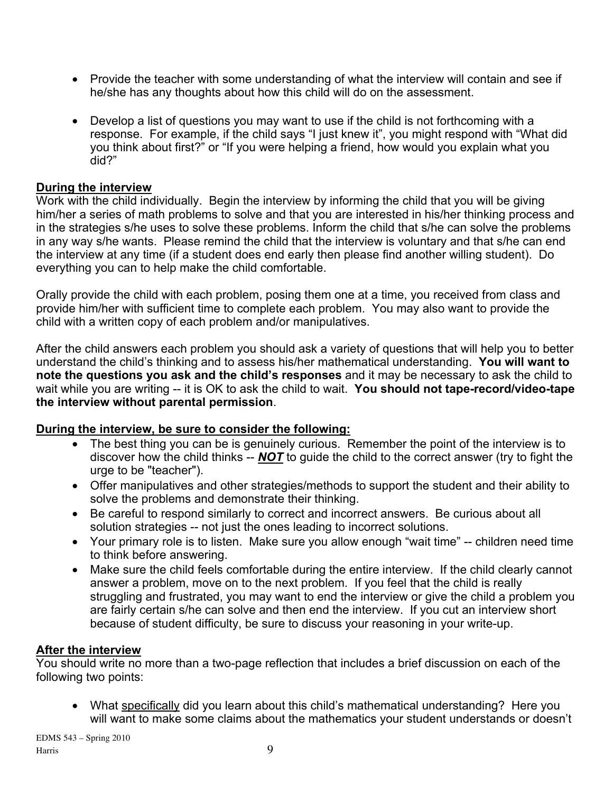- Provide the teacher with some understanding of what the interview will contain and see if he/she has any thoughts about how this child will do on the assessment.
- Develop a list of questions you may want to use if the child is not forthcoming with a response. For example, if the child says "I just knew it", you might respond with "What did you think about first?" or "If you were helping a friend, how would you explain what you did?"

# **During the interview**

Work with the child individually. Begin the interview by informing the child that you will be giving him/her a series of math problems to solve and that you are interested in his/her thinking process and in the strategies s/he uses to solve these problems. Inform the child that s/he can solve the problems in any way s/he wants. Please remind the child that the interview is voluntary and that s/he can end the interview at any time (if a student does end early then please find another willing student). Do everything you can to help make the child comfortable.

Orally provide the child with each problem, posing them one at a time, you received from class and provide him/her with sufficient time to complete each problem. You may also want to provide the child with a written copy of each problem and/or manipulatives.

After the child answers each problem you should ask a variety of questions that will help you to better understand the child's thinking and to assess his/her mathematical understanding. **You will want to note the questions you ask and the child's responses** and it may be necessary to ask the child to wait while you are writing -- it is OK to ask the child to wait. **You should not tape-record/video-tape the interview without parental permission**.

# **During the interview, be sure to consider the following:**

- The best thing you can be is genuinely curious. Remember the point of the interview is to discover how the child thinks -- *NOT* to guide the child to the correct answer (try to fight the urge to be "teacher").
- Offer manipulatives and other strategies/methods to support the student and their ability to solve the problems and demonstrate their thinking.
- Be careful to respond similarly to correct and incorrect answers. Be curious about all solution strategies -- not just the ones leading to incorrect solutions.
- Your primary role is to listen. Make sure you allow enough "wait time" -- children need time to think before answering.
- Make sure the child feels comfortable during the entire interview. If the child clearly cannot answer a problem, move on to the next problem. If you feel that the child is really struggling and frustrated, you may want to end the interview or give the child a problem you are fairly certain s/he can solve and then end the interview. If you cut an interview short because of student difficulty, be sure to discuss your reasoning in your write-up.

## **After the interview**

You should write no more than a two-page reflection that includes a brief discussion on each of the following two points:

• What specifically did you learn about this child's mathematical understanding? Here you will want to make some claims about the mathematics your student understands or doesn't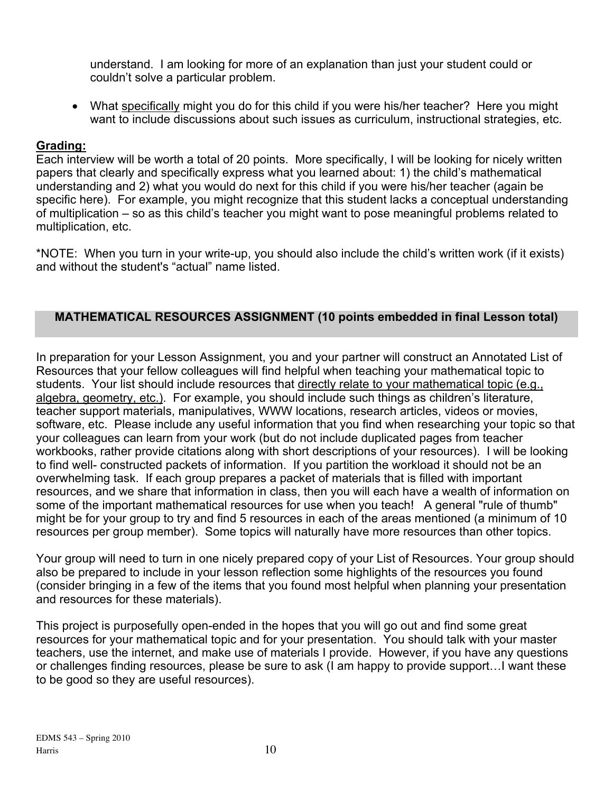understand. I am looking for more of an explanation than just your student could or couldn't solve a particular problem.

• What specifically might you do for this child if you were his/her teacher? Here you might want to include discussions about such issues as curriculum, instructional strategies, etc.

# **Grading:**

Each interview will be worth a total of 20 points. More specifically, I will be looking for nicely written papers that clearly and specifically express what you learned about: 1) the child's mathematical understanding and 2) what you would do next for this child if you were his/her teacher (again be specific here). For example, you might recognize that this student lacks a conceptual understanding of multiplication – so as this child's teacher you might want to pose meaningful problems related to multiplication, etc.

\*NOTE: When you turn in your write-up, you should also include the child's written work (if it exists) and without the student's "actual" name listed.

# **MATHEMATICAL RESOURCES ASSIGNMENT (10 points embedded in final Lesson total)**

In preparation for your Lesson Assignment, you and your partner will construct an Annotated List of Resources that your fellow colleagues will find helpful when teaching your mathematical topic to students. Your list should include resources that directly relate to your mathematical topic (e.g., algebra, geometry, etc.). For example, you should include such things as children's literature, teacher support materials, manipulatives, WWW locations, research articles, videos or movies, software, etc. Please include any useful information that you find when researching your topic so that your colleagues can learn from your work (but do not include duplicated pages from teacher workbooks, rather provide citations along with short descriptions of your resources). I will be looking to find well- constructed packets of information. If you partition the workload it should not be an overwhelming task. If each group prepares a packet of materials that is filled with important resources, and we share that information in class, then you will each have a wealth of information on some of the important mathematical resources for use when you teach! A general "rule of thumb" might be for your group to try and find 5 resources in each of the areas mentioned (a minimum of 10 resources per group member). Some topics will naturally have more resources than other topics.

Your group will need to turn in one nicely prepared copy of your List of Resources. Your group should also be prepared to include in your lesson reflection some highlights of the resources you found (consider bringing in a few of the items that you found most helpful when planning your presentation and resources for these materials).

This project is purposefully open-ended in the hopes that you will go out and find some great resources for your mathematical topic and for your presentation. You should talk with your master teachers, use the internet, and make use of materials I provide. However, if you have any questions or challenges finding resources, please be sure to ask (I am happy to provide support…I want these to be good so they are useful resources).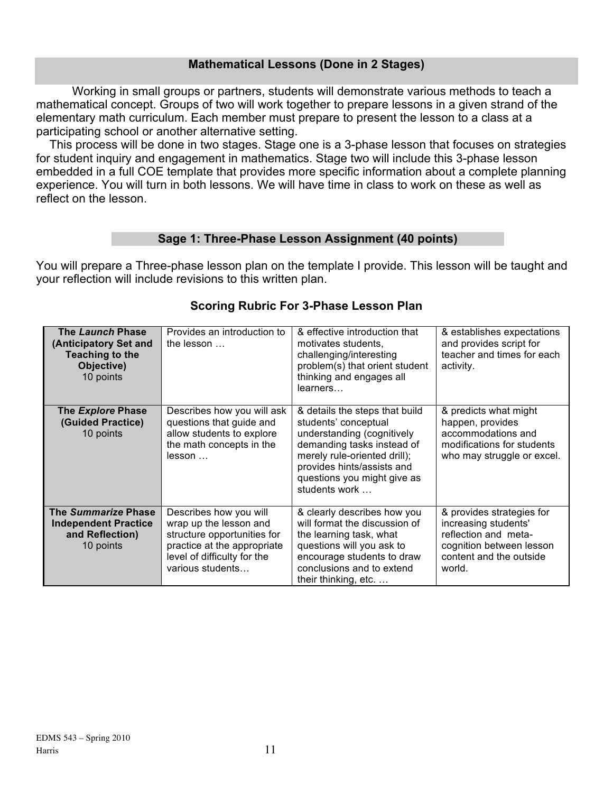# **Mathematical Lessons (Done in 2 Stages)**

Working in small groups or partners, students will demonstrate various methods to teach a mathematical concept. Groups of two will work together to prepare lessons in a given strand of the elementary math curriculum. Each member must prepare to present the lesson to a class at a participating school or another alternative setting.

 This process will be done in two stages. Stage one is a 3-phase lesson that focuses on strategies for student inquiry and engagement in mathematics. Stage two will include this 3-phase lesson embedded in a full COE template that provides more specific information about a complete planning experience. You will turn in both lessons. We will have time in class to work on these as well as reflect on the lesson.

### **Sage 1: Three-Phase Lesson Assignment (40 points)**

You will prepare a Three-phase lesson plan on the template I provide. This lesson will be taught and your reflection will include revisions to this written plan.

| The Launch Phase<br>(Anticipatory Set and<br>Teaching to the<br>Objective)<br>10 points | Provides an introduction to<br>the lesson                                                                                                                         | & effective introduction that<br>motivates students,<br>challenging/interesting<br>problem(s) that orient student<br>thinking and engages all<br>learners                                                                        | & establishes expectations<br>and provides script for<br>teacher and times for each<br>activity.                                           |
|-----------------------------------------------------------------------------------------|-------------------------------------------------------------------------------------------------------------------------------------------------------------------|----------------------------------------------------------------------------------------------------------------------------------------------------------------------------------------------------------------------------------|--------------------------------------------------------------------------------------------------------------------------------------------|
| The Explore Phase<br>(Guided Practice)<br>10 points                                     | Describes how you will ask<br>questions that guide and<br>allow students to explore<br>the math concepts in the<br>lesson                                         | & details the steps that build<br>students' conceptual<br>understanding (cognitively<br>demanding tasks instead of<br>merely rule-oriented drill);<br>provides hints/assists and<br>questions you might give as<br>students work | & predicts what might<br>happen, provides<br>accommodations and<br>modifications for students<br>who may struggle or excel.                |
| The Summarize Phase<br><b>Independent Practice</b><br>and Reflection)<br>10 points      | Describes how you will<br>wrap up the lesson and<br>structure opportunities for<br>practice at the appropriate<br>level of difficulty for the<br>various students | & clearly describes how you<br>will format the discussion of<br>the learning task, what<br>questions will you ask to<br>encourage students to draw<br>conclusions and to extend<br>their thinking, etc                           | & provides strategies for<br>increasing students'<br>reflection and meta-<br>cognition between lesson<br>content and the outside<br>world. |

# **Scoring Rubric For 3-Phase Lesson Plan**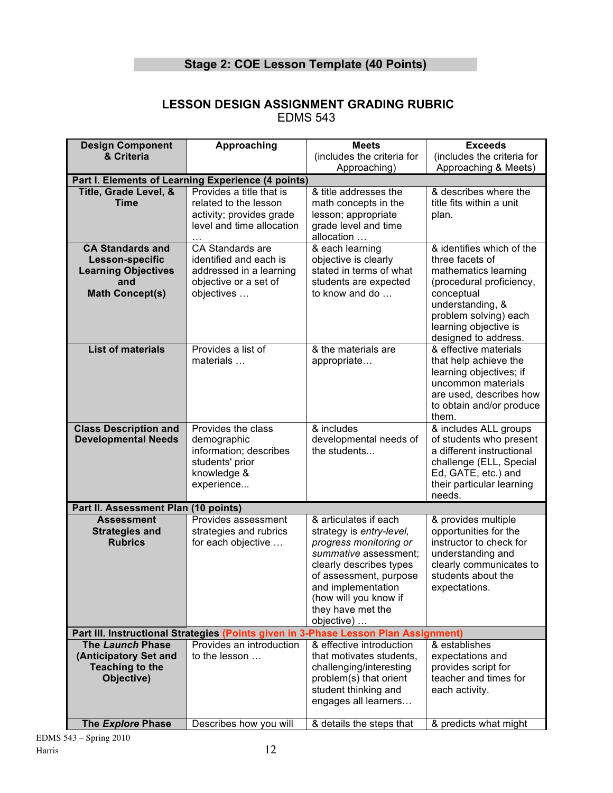# **Stage 2: COE Lesson Template (40 Points)**

### **LESSON DESIGN ASSIGNMENT GRADING RUBRIC** EDMS 543

| <b>Design Component</b>                                                                                   | Approaching                                                                                                         | <b>Meets</b>                                                                                                                                                                                                                                | <b>Exceeds</b>                                                                                                                                                                                               |  |
|-----------------------------------------------------------------------------------------------------------|---------------------------------------------------------------------------------------------------------------------|---------------------------------------------------------------------------------------------------------------------------------------------------------------------------------------------------------------------------------------------|--------------------------------------------------------------------------------------------------------------------------------------------------------------------------------------------------------------|--|
| & Criteria                                                                                                |                                                                                                                     | (includes the criteria for                                                                                                                                                                                                                  | (includes the criteria for                                                                                                                                                                                   |  |
|                                                                                                           |                                                                                                                     | Approaching)                                                                                                                                                                                                                                | Approaching & Meets)                                                                                                                                                                                         |  |
|                                                                                                           | Part I. Elements of Learning Experience (4 points)                                                                  |                                                                                                                                                                                                                                             |                                                                                                                                                                                                              |  |
| Title, Grade Level, &<br><b>Time</b>                                                                      | Provides a title that is<br>related to the lesson<br>activity; provides grade<br>level and time allocation          | & title addresses the<br>math concepts in the<br>lesson; appropriate<br>grade level and time<br>allocation                                                                                                                                  | & describes where the<br>title fits within a unit<br>plan.                                                                                                                                                   |  |
| <b>CA Standards and</b><br>Lesson-specific<br><b>Learning Objectives</b><br>and<br><b>Math Concept(s)</b> | <b>CA Standards are</b><br>identified and each is<br>addressed in a learning<br>objective or a set of<br>objectives | & each learning<br>objective is clearly<br>stated in terms of what<br>students are expected<br>to know and do                                                                                                                               | & identifies which of the<br>three facets of<br>mathematics learning<br>(procedural proficiency,<br>conceptual<br>understanding, &<br>problem solving) each<br>learning objective is<br>designed to address. |  |
| <b>List of materials</b>                                                                                  | Provides a list of<br>materials                                                                                     | & the materials are<br>appropriate                                                                                                                                                                                                          | & effective materials<br>that help achieve the<br>learning objectives; if<br>uncommon materials<br>are used, describes how<br>to obtain and/or produce<br>them.                                              |  |
| <b>Class Description and</b><br><b>Developmental Needs</b>                                                | Provides the class<br>demographic<br>information; describes<br>students' prior<br>knowledge &<br>experience         | & includes<br>developmental needs of<br>the students                                                                                                                                                                                        | & includes ALL groups<br>of students who present<br>a different instructional<br>challenge (ELL, Special<br>Ed, GATE, etc.) and<br>their particular learning<br>needs.                                       |  |
| Part II. Assessment Plan (10 points)                                                                      |                                                                                                                     |                                                                                                                                                                                                                                             |                                                                                                                                                                                                              |  |
| <b>Assessment</b><br><b>Strategies and</b><br><b>Rubrics</b>                                              | Provides assessment<br>strategies and rubrics<br>for each objective                                                 | & articulates if each<br>strategy is entry-level,<br>progress monitoring or<br>summative assessment:<br>clearly describes types<br>of assessment, purpose<br>and implementation<br>(how will you know if<br>they have met the<br>objective) | & provides multiple<br>opportunities for the<br>instructor to check for<br>understanding and<br>clearly communicates to<br>students about the<br>expectations.                                               |  |
| Part III. Instructional Strategies (Points given in 3-Phase Lesson Plan Assignment)                       |                                                                                                                     |                                                                                                                                                                                                                                             |                                                                                                                                                                                                              |  |
| <b>The Launch Phase</b><br>(Anticipatory Set and<br><b>Teaching to the</b><br>Objective)                  | Provides an introduction<br>to the lesson                                                                           | & effective introduction<br>that motivates students,<br>challenging/interesting<br>problem(s) that orient<br>student thinking and<br>engages all learners                                                                                   | & establishes<br>expectations and<br>provides script for<br>teacher and times for<br>each activity.                                                                                                          |  |
| The Explore Phase                                                                                         | Describes how you will                                                                                              | & details the steps that                                                                                                                                                                                                                    | & predicts what might                                                                                                                                                                                        |  |